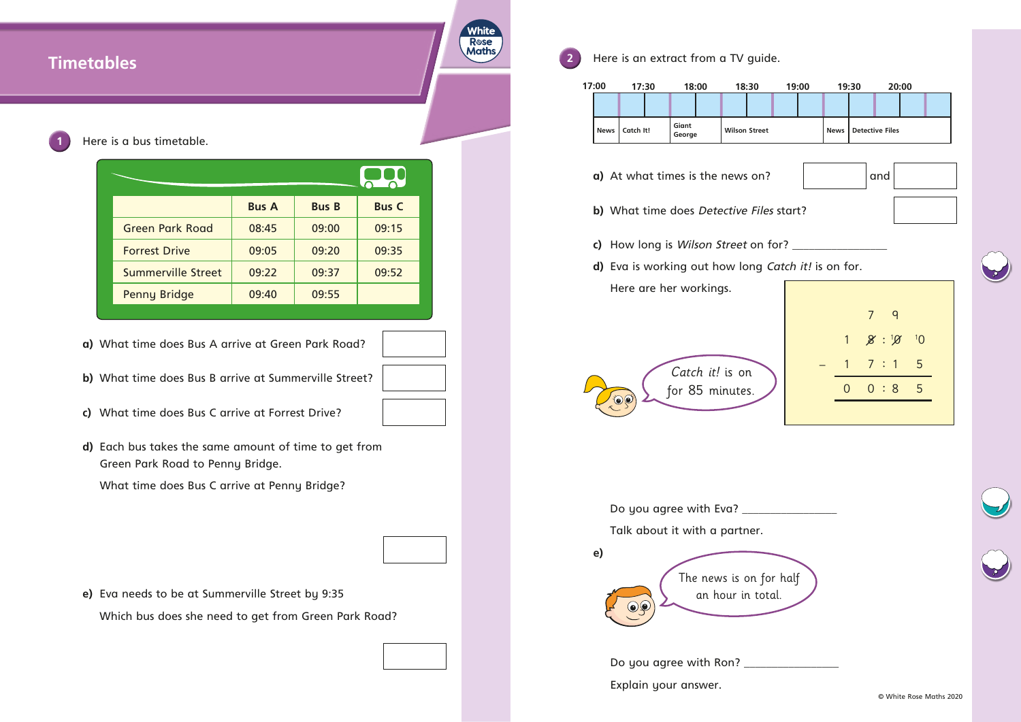# White **R**ose **Maths 2** Here is an extract from a TV guide. **Timetables** Here is a bus timetable. 800 **Bus A Bus B Bus C** Green Park Road | 08:45 | 09:00 | 09:15 Forrest Drive 09:05 09:20 09:35 Summerville Street | 09:22 | 09:37 | 09:52 Penny Bridge | 09:40 | 09:55 **a)** What time does Bus A arrive at Green Park Road? **b)** What time does Bus B arrive at Summerville Street? **c)** What time does Bus C arrive at Forrest Drive? **d)** Each bus takes the same amount of time to get from Green Park Road to Penny Bridge. What time does Bus C arrive at Penny Bridge? **e) e)** Eva needs to be at Summerville Street by 9:35 Which bus does she need to get from Green Park Road?

- **a)** At what times is the news on?  $\vert$   $\vert$  and
- **b)** What time does Detective Files start?
- **c)** How long is Wilson Street on for? \_\_\_\_\_\_\_\_\_\_\_\_\_\_\_\_\_
- **d)** Eva is working out how long Catch it! is on for. Here are her workings.

Do you agree with Eva? \_\_\_\_\_\_\_\_\_\_\_\_\_\_\_\_\_ Talk about it with a partner.

Do you agree with Ron? \_\_\_\_\_\_\_\_\_\_\_\_\_\_\_\_\_ Explain your answer.

**News Catch It! Giant**